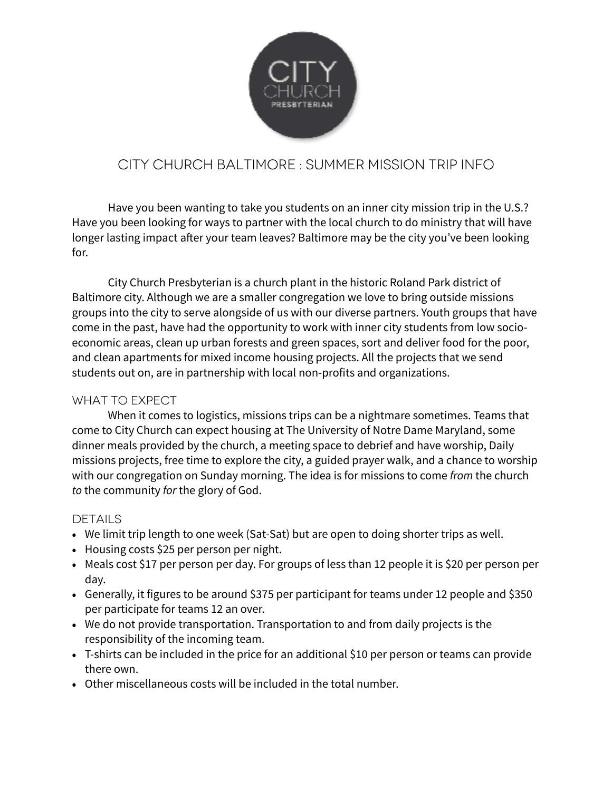

## City church Baltimore : summer mission trip info

 Have you been wanting to take you students on an inner city mission trip in the U.S.? Have you been looking for ways to partner with the local church to do ministry that will have longer lasting impact after your team leaves? Baltimore may be the city you've been looking for.

 City Church Presbyterian is a church plant in the historic Roland Park district of Baltimore city. Although we are a smaller congregation we love to bring outside missions groups into the city to serve alongside of us with our diverse partners. Youth groups that have come in the past, have had the opportunity to work with inner city students from low socioeconomic areas, clean up urban forests and green spaces, sort and deliver food for the poor, and clean apartments for mixed income housing projects. All the projects that we send students out on, are in partnership with local non-profits and organizations.

## What to Expect

 When it comes to logistics, missions trips can be a nightmare sometimes. Teams that come to City Church can expect housing at The University of Notre Dame Maryland, some dinner meals provided by the church, a meeting space to debrief and have worship, Daily missions projects, free time to explore the city, a guided prayer walk, and a chance to worship with our congregation on Sunday morning. The idea is for missions to come *from* the church *to* the community *for* the glory of God.

## **DETAILS**

- We limit trip length to one week (Sat-Sat) but are open to doing shorter trips as well.
- Housing costs \$25 per person per night.
- Meals cost \$17 per person per day. For groups of less than 12 people it is \$20 per person per day.
- Generally, it figures to be around \$375 per participant for teams under 12 people and \$350 per participate for teams 12 an over.
- We do not provide transportation. Transportation to and from daily projects is the responsibility of the incoming team.
- T-shirts can be included in the price for an additional \$10 per person or teams can provide there own.
- Other miscellaneous costs will be included in the total number.